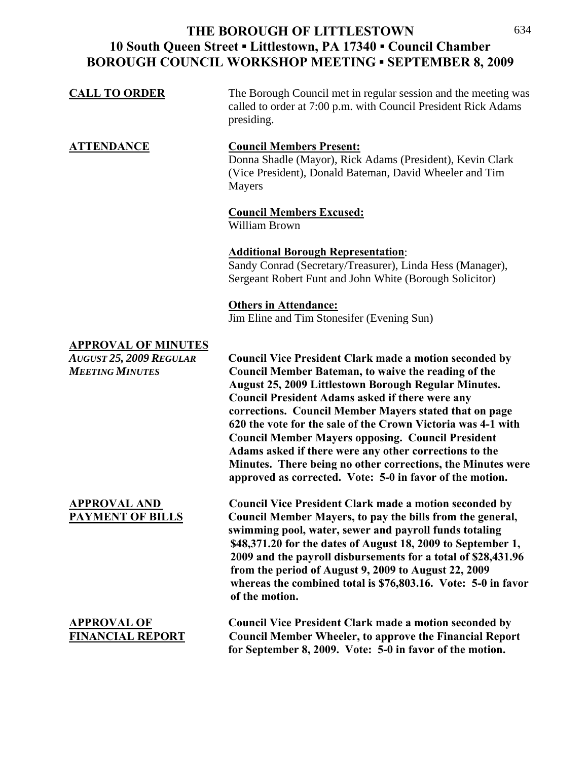## **THE BOROUGH OF LITTLESTOWN 10 South Queen Street ▪ Littlestown, PA 17340 ▪ Council Chamber BOROUGH COUNCIL WORKSHOP MEETING ▪ SEPTEMBER 8, 2009**

| <b>CALL TO ORDER</b>                                                            | The Borough Council met in regular session and the meeting was<br>called to order at 7:00 p.m. with Council President Rick Adams<br>presiding.                                                                                                                                                                                                                                                                                                                                                                                                                                                                                  |
|---------------------------------------------------------------------------------|---------------------------------------------------------------------------------------------------------------------------------------------------------------------------------------------------------------------------------------------------------------------------------------------------------------------------------------------------------------------------------------------------------------------------------------------------------------------------------------------------------------------------------------------------------------------------------------------------------------------------------|
| <u>ATTENDANCE</u>                                                               | <b>Council Members Present:</b><br>Donna Shadle (Mayor), Rick Adams (President), Kevin Clark<br>(Vice President), Donald Bateman, David Wheeler and Tim<br><b>Mayers</b>                                                                                                                                                                                                                                                                                                                                                                                                                                                        |
|                                                                                 | <b>Council Members Excused:</b><br>William Brown                                                                                                                                                                                                                                                                                                                                                                                                                                                                                                                                                                                |
|                                                                                 | <b>Additional Borough Representation:</b><br>Sandy Conrad (Secretary/Treasurer), Linda Hess (Manager),<br>Sergeant Robert Funt and John White (Borough Solicitor)                                                                                                                                                                                                                                                                                                                                                                                                                                                               |
|                                                                                 | <b>Others in Attendance:</b><br>Jim Eline and Tim Stonesifer (Evening Sun)                                                                                                                                                                                                                                                                                                                                                                                                                                                                                                                                                      |
| <b>APPROVAL OF MINUTES</b><br>August 25, 2009 Regular<br><b>MEETING MINUTES</b> | <b>Council Vice President Clark made a motion seconded by</b><br><b>Council Member Bateman, to waive the reading of the</b><br><b>August 25, 2009 Littlestown Borough Regular Minutes.</b><br><b>Council President Adams asked if there were any</b><br>corrections. Council Member Mayers stated that on page<br>620 the vote for the sale of the Crown Victoria was 4-1 with<br><b>Council Member Mayers opposing. Council President</b><br>Adams asked if there were any other corrections to the<br>Minutes. There being no other corrections, the Minutes were<br>approved as corrected. Vote: 5-0 in favor of the motion. |
| <b>APPROVAL AND</b><br><b>PAYMENT OF BILLS</b>                                  | <b>Council Vice President Clark made a motion seconded by</b><br>Council Member Mayers, to pay the bills from the general,<br>swimming pool, water, sewer and payroll funds totaling<br>\$48,371.20 for the dates of August 18, 2009 to September 1,<br>2009 and the payroll disbursements for a total of \$28,431.96<br>from the period of August 9, 2009 to August 22, 2009<br>whereas the combined total is \$76,803.16. Vote: 5-0 in favor<br>of the motion.                                                                                                                                                                |
| <b>APPROVAL OF</b><br><b>FINANCIAL REPORT</b>                                   | <b>Council Vice President Clark made a motion seconded by</b><br><b>Council Member Wheeler, to approve the Financial Report</b><br>for September 8, 2009. Vote: 5-0 in favor of the motion.                                                                                                                                                                                                                                                                                                                                                                                                                                     |